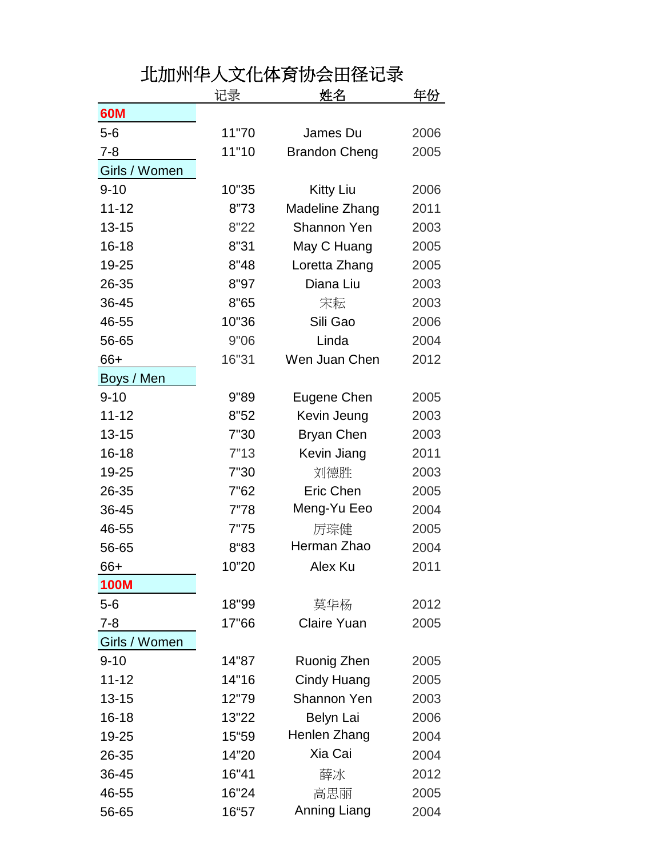## 北加州华人文化体育协会田径记录

|               | 记录    | 姓名                   | 年份   |
|---------------|-------|----------------------|------|
| 60M           |       |                      |      |
| $5-6$         | 11"70 | James Du             | 2006 |
| $7 - 8$       | 11"10 | <b>Brandon Cheng</b> | 2005 |
| Girls / Women |       |                      |      |
| $9 - 10$      | 10"35 | Kitty Liu            | 2006 |
| $11 - 12$     | 8"73  | Madeline Zhang       | 2011 |
| $13 - 15$     | 8"22  | <b>Shannon Yen</b>   | 2003 |
| $16 - 18$     | 8"31  | May C Huang          | 2005 |
| 19-25         | 8"48  | Loretta Zhang        | 2005 |
| 26-35         | 8"97  | Diana Liu            | 2003 |
| 36-45         | 8"65  | 宋耘                   | 2003 |
| 46-55         | 10"36 | Sili Gao             | 2006 |
| 56-65         | 9"06  | Linda                | 2004 |
| 66+           | 16"31 | Wen Juan Chen        | 2012 |
| Boys / Men    |       |                      |      |
| $9 - 10$      | 9"89  | Eugene Chen          | 2005 |
| $11 - 12$     | 8"52  | Kevin Jeung          | 2003 |
| $13 - 15$     | 7"30  | <b>Bryan Chen</b>    | 2003 |
| $16 - 18$     | 7"13  | Kevin Jiang          | 2011 |
| 19-25         | 7"30  | 刘德胜                  | 2003 |
| 26-35         | 7"62  | Eric Chen            | 2005 |
| 36-45         | 7"78  | Meng-Yu Eeo          | 2004 |
| 46-55         | 7"75  | 厉琮健                  | 2005 |
| 56-65         | 8"83  | Herman Zhao          | 2004 |
| 66+           | 10"20 | Alex Ku              | 2011 |
| <b>100M</b>   |       |                      |      |
| $5-6$         | 18"99 | 莫华杨                  | 2012 |
| $7 - 8$       | 17"66 | <b>Claire Yuan</b>   | 2005 |
| Girls / Women |       |                      |      |
| $9 - 10$      | 14"87 | Ruonig Zhen          | 2005 |
| $11 - 12$     | 14"16 | Cindy Huang          | 2005 |
| $13 - 15$     | 12"79 | <b>Shannon Yen</b>   | 2003 |
| $16 - 18$     | 13"22 | Belyn Lai            | 2006 |
| 19-25         | 15"59 | Henlen Zhang         | 2004 |
| 26-35         | 14"20 | Xia Cai              | 2004 |
| 36-45         | 16"41 | 薛冰                   | 2012 |
| 46-55         | 16"24 | 高思丽                  | 2005 |
| 56-65         | 16"57 | Anning Liang         | 2004 |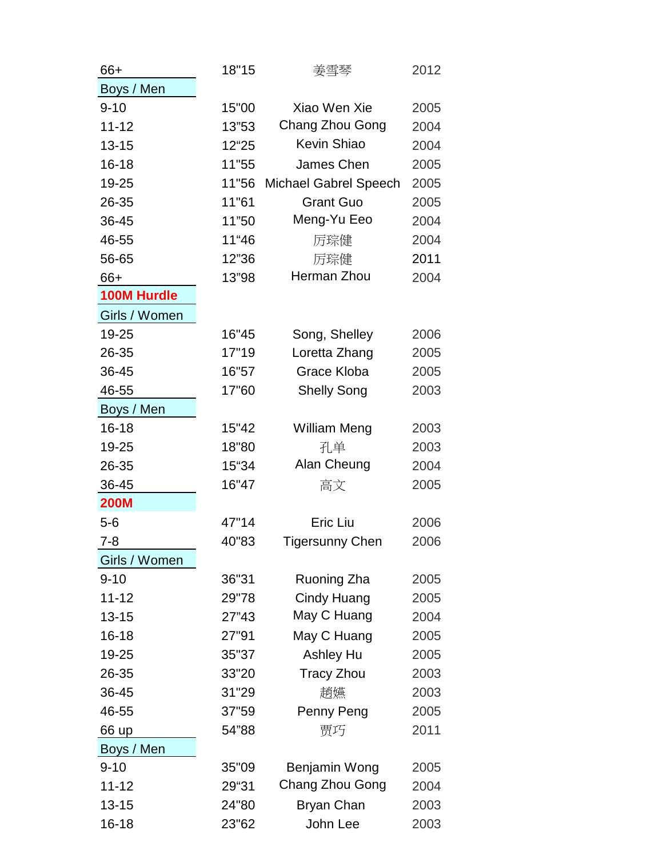| 66+                | 18"15 | 姜雪琴                          | 2012 |
|--------------------|-------|------------------------------|------|
| Boys / Men         |       |                              |      |
| $9 - 10$           | 15"00 | Xiao Wen Xie                 | 2005 |
| $11 - 12$          | 13"53 | Chang Zhou Gong              | 2004 |
| $13 - 15$          | 12"25 | <b>Kevin Shiao</b>           | 2004 |
| $16 - 18$          | 11"55 | James Chen                   | 2005 |
| 19-25              | 11"56 | <b>Michael Gabrel Speech</b> | 2005 |
| 26-35              | 11"61 | <b>Grant Guo</b>             | 2005 |
| 36-45              | 11"50 | Meng-Yu Eeo                  | 2004 |
| 46-55              | 11"46 | 厉琮健                          | 2004 |
| 56-65              | 12"36 | 厉琮健                          | 2011 |
| 66+                | 13"98 | Herman Zhou                  | 2004 |
| <b>100M Hurdle</b> |       |                              |      |
| Girls / Women      |       |                              |      |
| 19-25              | 16"45 | Song, Shelley                | 2006 |
| 26-35              | 17"19 | Loretta Zhang                | 2005 |
| 36-45              | 16"57 | Grace Kloba                  | 2005 |
| 46-55              | 17"60 | <b>Shelly Song</b>           | 2003 |
| Boys / Men         |       |                              |      |
| $16 - 18$          | 15"42 | <b>William Meng</b>          | 2003 |
| 19-25              | 18"80 | 孔单                           | 2003 |
| 26-35              | 15"34 | Alan Cheung                  | 2004 |
| 36-45              | 16"47 | 高文                           | 2005 |
| <b>200M</b>        |       |                              |      |
| $5-6$              | 47"14 | Eric Liu                     | 2006 |
| 7-8                | 40"83 | <b>Tigersunny Chen</b>       | 2006 |
| Girls / Women      |       |                              |      |
| $9 - 10$           | 36"31 | Ruoning Zha                  | 2005 |
| $11 - 12$          | 29"78 | Cindy Huang                  | 2005 |
| $13 - 15$          | 27"43 | May C Huang                  | 2004 |
| $16 - 18$          | 27"91 | May C Huang                  | 2005 |
| 19-25              | 35"37 | <b>Ashley Hu</b>             | 2005 |
| 26-35              | 33"20 | <b>Tracy Zhou</b>            | 2003 |
| 36-45              | 31"29 | 趙嬿                           | 2003 |
| 46-55              | 37"59 | Penny Peng                   | 2005 |
| 66 up              | 54"88 | 贾巧                           | 2011 |
| Boys / Men         |       |                              |      |
| $9 - 10$           | 35"09 | Benjamin Wong                | 2005 |
| $11 - 12$          | 29"31 | Chang Zhou Gong              | 2004 |
| $13 - 15$          | 24"80 | <b>Bryan Chan</b>            | 2003 |
| $16 - 18$          | 23"62 | John Lee                     | 2003 |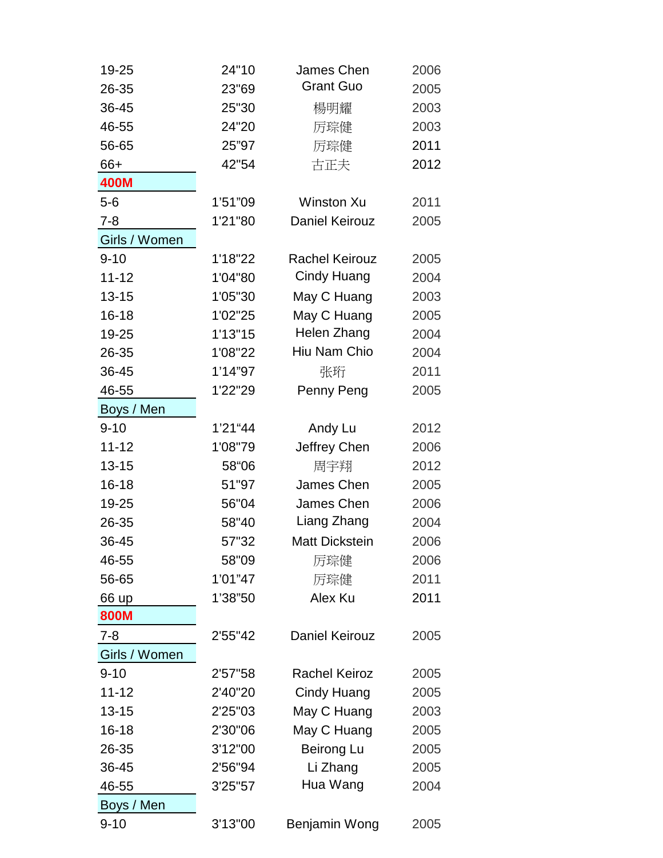| 19-25         | 24"10   | James Chen            | 2006 |
|---------------|---------|-----------------------|------|
| 26-35         | 23"69   | <b>Grant Guo</b>      | 2005 |
| 36-45         | 25"30   | 楊明耀                   | 2003 |
| 46-55         | 24"20   | 厉琮健                   | 2003 |
| 56-65         | 25"97   | 厉琮健                   | 2011 |
| 66+           | 42"54   | 古正夫                   | 2012 |
| 400M          |         |                       |      |
| $5-6$         | 1'51"09 | <b>Winston Xu</b>     | 2011 |
| $7 - 8$       | 1'21"80 | <b>Daniel Keirouz</b> | 2005 |
| Girls / Women |         |                       |      |
| $9 - 10$      | 1'18"22 | <b>Rachel Keirouz</b> | 2005 |
| $11 - 12$     | 1'04"80 | <b>Cindy Huang</b>    | 2004 |
| $13 - 15$     | 1'05"30 | May C Huang           | 2003 |
| $16 - 18$     | 1'02"25 | May C Huang           | 2005 |
| 19-25         | 1'13"15 | Helen Zhang           | 2004 |
| 26-35         | 1'08"22 | Hiu Nam Chio          | 2004 |
| 36-45         | 1'14"97 | 张珩                    | 2011 |
| 46-55         | 1'22"29 | Penny Peng            | 2005 |
| Boys / Men    |         |                       |      |
| $9 - 10$      | 1'21"44 | Andy Lu               | 2012 |
| $11 - 12$     | 1'08"79 | Jeffrey Chen          | 2006 |
| $13 - 15$     | 58"06   | 周宇翔                   | 2012 |
| 16-18         | 51"97   | James Chen            | 2005 |
| 19-25         | 56"04   | James Chen            | 2006 |
| 26-35         | 58"40   | Liang Zhang           | 2004 |
| 36-45         | 57"32   | <b>Matt Dickstein</b> | 2006 |
| 46-55         | 58"09   | 厉琮健                   | 2006 |
| 56-65         | 1'01"47 | 厉琮健                   | 2011 |
| 66 up         | 1'38"50 | Alex Ku               | 2011 |
| 800M          |         |                       |      |
| $7 - 8$       | 2'55"42 | <b>Daniel Keirouz</b> | 2005 |
| Girls / Women |         |                       |      |
| $9 - 10$      | 2'57"58 | <b>Rachel Keiroz</b>  | 2005 |
| $11 - 12$     | 2'40"20 | Cindy Huang           | 2005 |
| $13 - 15$     | 2'25"03 | May C Huang           | 2003 |
| $16 - 18$     | 2'30"06 | May C Huang           | 2005 |
| 26-35         | 3'12"00 | Beirong Lu            | 2005 |
| 36-45         | 2'56"94 | Li Zhang              | 2005 |
| 46-55         | 3'25"57 | Hua Wang              | 2004 |
| Boys / Men    |         |                       |      |
| $9 - 10$      | 3'13"00 | Benjamin Wong         | 2005 |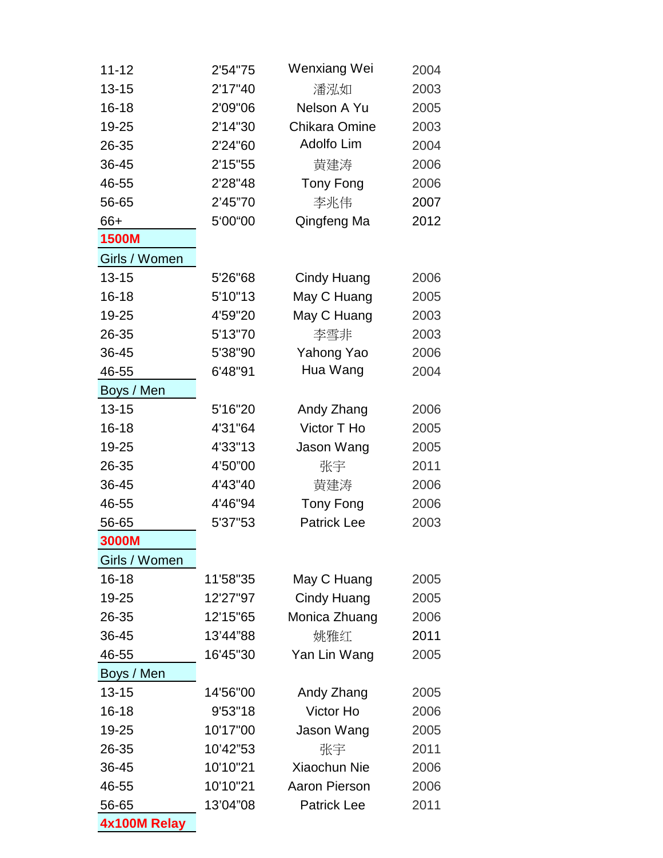| $11 - 12$     | 2'54"75  | Wenxiang Wei         | 2004 |  |
|---------------|----------|----------------------|------|--|
| $13 - 15$     | 2'17"40  | 潘泓如                  | 2003 |  |
| $16 - 18$     | 2'09"06  | Nelson A Yu          | 2005 |  |
| 19-25         | 2'14"30  | <b>Chikara Omine</b> | 2003 |  |
| 26-35         | 2'24"60  | Adolfo Lim           | 2004 |  |
| 36-45         | 2'15"55  | 黄建涛                  | 2006 |  |
| 46-55         | 2'28"48  | Tony Fong            | 2006 |  |
| 56-65         | 2'45"70  | 李兆伟                  | 2007 |  |
| 66+           | 5'00"00  | Qingfeng Ma          | 2012 |  |
| <b>1500M</b>  |          |                      |      |  |
| Girls / Women |          |                      |      |  |
| $13 - 15$     | 5'26"68  | Cindy Huang          | 2006 |  |
| $16 - 18$     | 5'10"13  | May C Huang          | 2005 |  |
| 19-25         | 4'59"20  | May C Huang          | 2003 |  |
| 26-35         | 5'13"70  | 李雪非                  | 2003 |  |
| 36-45         | 5'38"90  | Yahong Yao           | 2006 |  |
| 46-55         | 6'48"91  | Hua Wang             | 2004 |  |
| Boys / Men    |          |                      |      |  |
| $13 - 15$     | 5'16"20  | Andy Zhang           | 2006 |  |
| $16 - 18$     | 4'31"64  | Victor T Ho          | 2005 |  |
| 19-25         | 4'33"13  | Jason Wang           | 2005 |  |
| 26-35         | 4'50"00  | 张宇                   | 2011 |  |
| 36-45         | 4'43"40  | 黄建涛                  | 2006 |  |
| 46-55         | 4'46"94  | Tony Fong            | 2006 |  |
| 56-65         | 5'37"53  | <b>Patrick Lee</b>   | 2003 |  |
| 3000M         |          |                      |      |  |
| Girls / Women |          |                      |      |  |
| $16 - 18$     | 11'58"35 | May C Huang          | 2005 |  |
| 19-25         | 12'27"97 | <b>Cindy Huang</b>   | 2005 |  |
| 26-35         | 12'15"65 | Monica Zhuang        | 2006 |  |
| 36-45         | 13'44"88 | 姚雅红                  | 2011 |  |
| 46-55         | 16'45"30 | Yan Lin Wang         | 2005 |  |
| Boys / Men    |          |                      |      |  |
| $13 - 15$     | 14'56"00 | Andy Zhang           | 2005 |  |
| $16 - 18$     | 9'53"18  | Victor Ho            | 2006 |  |
| 19-25         | 10'17"00 | Jason Wang           | 2005 |  |
| 26-35         | 10'42"53 | 张宇                   | 2011 |  |
| 36-45         | 10'10"21 | Xiaochun Nie         | 2006 |  |
| 46-55         | 10'10"21 | <b>Aaron Pierson</b> | 2006 |  |
| 56-65         | 13'04"08 | <b>Patrick Lee</b>   | 2011 |  |
| 4x100M Relay  |          |                      |      |  |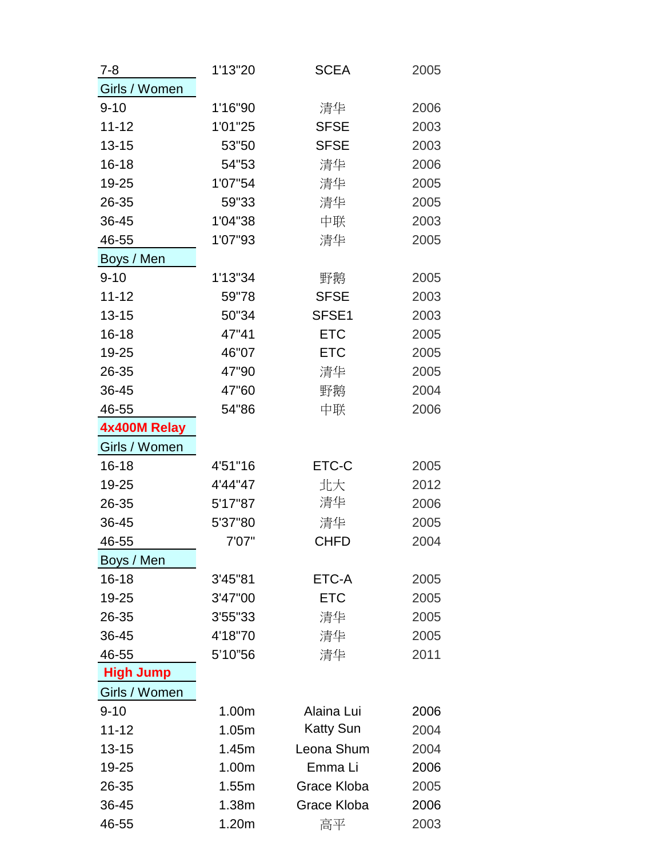| $7 - 8$          | 1'13"20 | <b>SCEA</b>      | 2005 |
|------------------|---------|------------------|------|
| Girls / Women    |         |                  |      |
| $9 - 10$         | 1'16"90 | 清华               | 2006 |
| $11 - 12$        | 1'01"25 | <b>SFSE</b>      | 2003 |
| $13 - 15$        | 53"50   | <b>SFSE</b>      | 2003 |
| $16 - 18$        | 54"53   | 清华               | 2006 |
| 19-25            | 1'07"54 | 清华               | 2005 |
| 26-35            | 59"33   | 清华               | 2005 |
| 36-45            | 1'04"38 | 中联               | 2003 |
| 46-55            | 1'07"93 | 清华               | 2005 |
| Boys / Men       |         |                  |      |
| $9 - 10$         | 1'13"34 | 野鹅               | 2005 |
| $11 - 12$        | 59"78   | <b>SFSE</b>      | 2003 |
| $13 - 15$        | 50"34   | SFSE1            | 2003 |
| $16 - 18$        | 47"41   | <b>ETC</b>       | 2005 |
| 19-25            | 46"07   | <b>ETC</b>       | 2005 |
| 26-35            | 47"90   | 清华               | 2005 |
| 36-45            | 47"60   | 野鹅               | 2004 |
| 46-55            | 54"86   | 中联               | 2006 |
| 4x400M Relay     |         |                  |      |
| Girls / Women    |         |                  |      |
| 16-18            | 4'51"16 | ETC-C            | 2005 |
| 19-25            | 4'44"47 | 北大               | 2012 |
| 26-35            | 5'17"87 | 清华               | 2006 |
| 36-45            | 5'37"80 | 清华               | 2005 |
| 46-55            | 7'07"   | <b>CHFD</b>      | 2004 |
| Boys / Men       |         |                  |      |
| $16 - 18$        | 3'45"81 | ETC-A            | 2005 |
| 19-25            | 3'47"00 | <b>ETC</b>       | 2005 |
| 26-35            | 3'55"33 | 清华               | 2005 |
| 36-45            | 4'18"70 | 清华               | 2005 |
| 46-55            | 5'10"56 | 清华               | 2011 |
| <b>High Jump</b> |         |                  |      |
| Girls / Women    |         |                  |      |
| $9 - 10$         | 1.00m   | Alaina Lui       | 2006 |
| $11 - 12$        | 1.05m   | <b>Katty Sun</b> | 2004 |
| $13 - 15$        | 1.45m   | Leona Shum       | 2004 |
| 19-25            | 1.00m   | Emma Li          | 2006 |
| 26-35            | 1.55m   | Grace Kloba      | 2005 |
| 36-45            | 1.38m   | Grace Kloba      | 2006 |
| 46-55            | 1.20m   | 高平               | 2003 |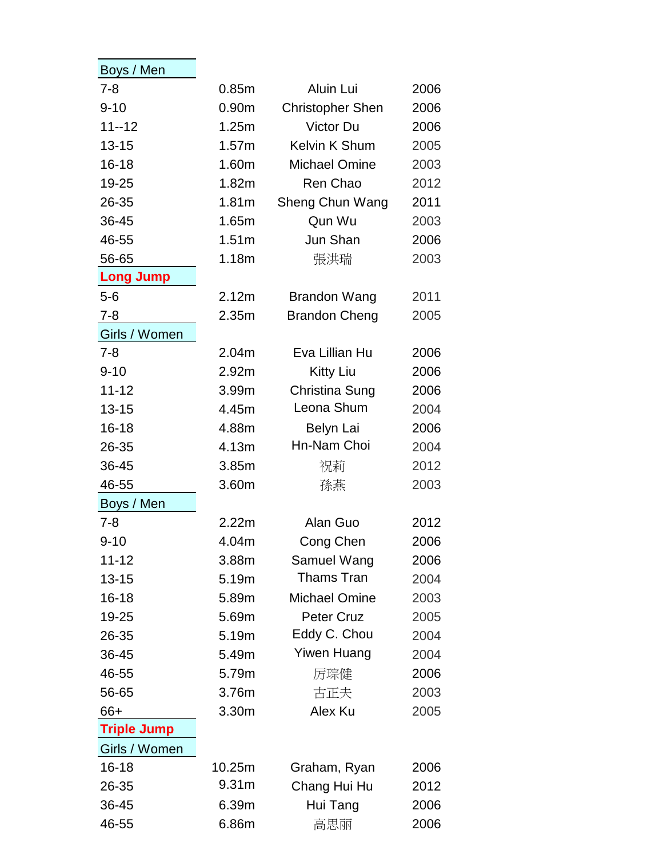| Boys / Men         |                   |                         |      |
|--------------------|-------------------|-------------------------|------|
| $7 - 8$            | 0.85m             | Aluin Lui               | 2006 |
| $9 - 10$           | 0.90 <sub>m</sub> | <b>Christopher Shen</b> | 2006 |
| $11 - 12$          | 1.25m             | Victor Du               | 2006 |
| $13 - 15$          | 1.57m             | Kelvin K Shum           | 2005 |
| $16 - 18$          | 1.60m             | <b>Michael Omine</b>    | 2003 |
| 19-25              | 1.82m             | Ren Chao                | 2012 |
| 26-35              | 1.81m             | Sheng Chun Wang         | 2011 |
| 36-45              | 1.65m             | Qun Wu                  | 2003 |
| 46-55              | 1.51m             | Jun Shan                | 2006 |
| 56-65              | 1.18m             | 張洪瑞                     | 2003 |
| <b>Long Jump</b>   |                   |                         |      |
| $5-6$              | 2.12m             | <b>Brandon Wang</b>     | 2011 |
| $7 - 8$            | 2.35m             | <b>Brandon Cheng</b>    | 2005 |
| Girls / Women      |                   |                         |      |
| $7 - 8$            | 2.04m             | Eva Lillian Hu          | 2006 |
| $9 - 10$           | 2.92m             | <b>Kitty Liu</b>        | 2006 |
| $11 - 12$          | 3.99m             | Christina Sung          | 2006 |
| $13 - 15$          | 4.45m             | Leona Shum              | 2004 |
| $16 - 18$          | 4.88m             | Belyn Lai               | 2006 |
| 26-35              | 4.13m             | Hn-Nam Choi             | 2004 |
| 36-45              | 3.85m             | 祝莉                      | 2012 |
| 46-55              | 3.60m             | 孫燕                      | 2003 |
| Boys / Men         |                   |                         |      |
| $7 - 8$            | 2.22m             | Alan Guo                | 2012 |
| 9-10               | 4.04m             | Cong Chen               | 2006 |
| $11 - 12$          | 3.88m             | Samuel Wang             | 2006 |
| $13 - 15$          | 5.19m             | Thams Tran              | 2004 |
| $16 - 18$          | 5.89m             | <b>Michael Omine</b>    | 2003 |
| 19-25              | 5.69m             | <b>Peter Cruz</b>       | 2005 |
| 26-35              | 5.19m             | Eddy C. Chou            | 2004 |
| 36-45              | 5.49m             | <b>Yiwen Huang</b>      | 2004 |
| 46-55              | 5.79m             | 厉琮健                     | 2006 |
| 56-65              | 3.76m             | 古正夫                     | 2003 |
| 66+                | 3.30m             | Alex Ku                 | 2005 |
| <b>Triple Jump</b> |                   |                         |      |
| Girls / Women      |                   |                         |      |
| $16 - 18$          | 10.25m            | Graham, Ryan            | 2006 |
| 26-35              | 9.31 <sub>m</sub> | Chang Hui Hu            | 2012 |
| 36-45              | 6.39m             | Hui Tang                | 2006 |
| 46-55              | 6.86m             | 高思丽                     | 2006 |